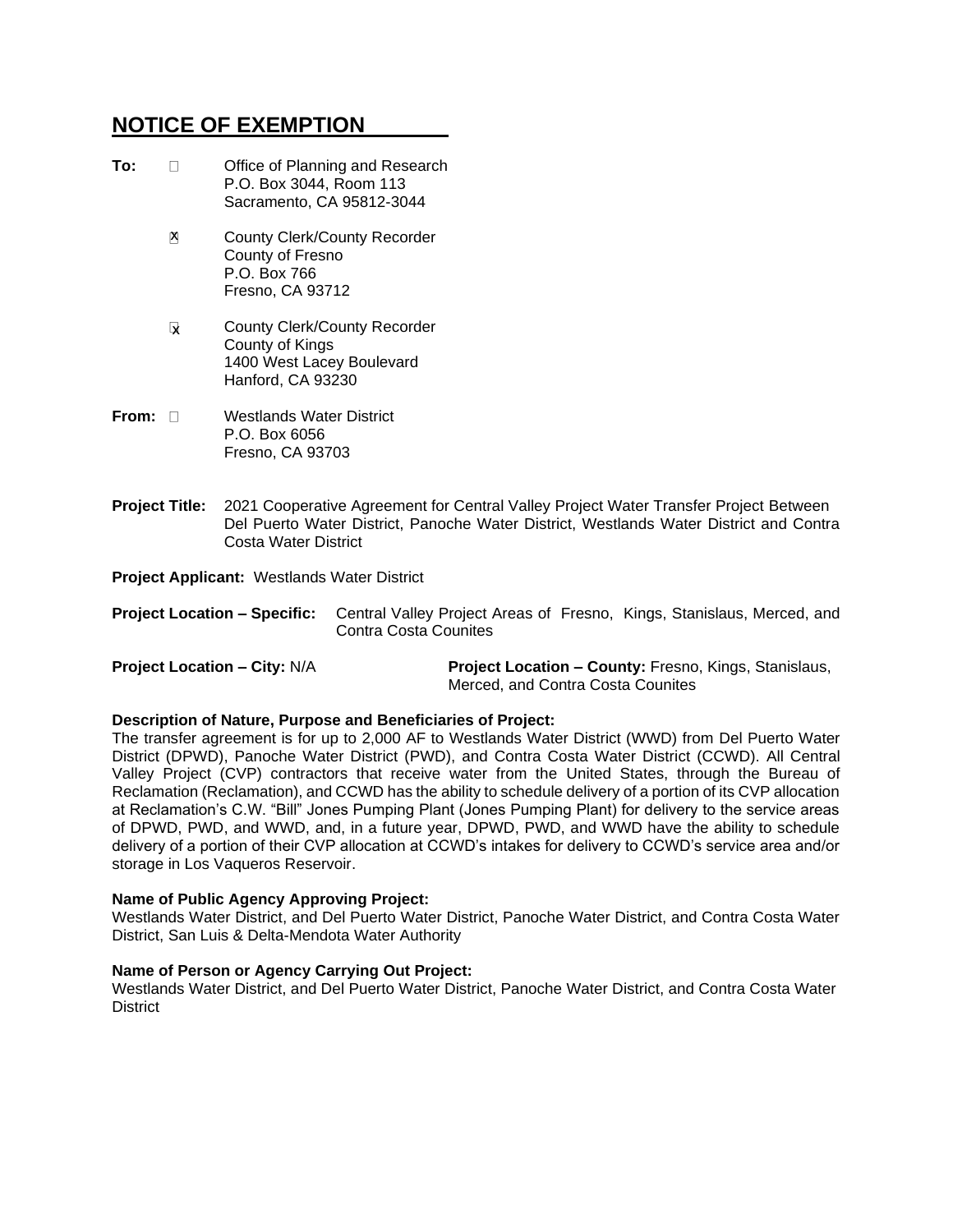# **NOTICE OF EXEMPTION**

| To:   |   | Office of Planning and Research<br>P.O. Box 3044, Room 113<br>Sacramento, CA 95812-3044           |
|-------|---|---------------------------------------------------------------------------------------------------|
|       | X | <b>County Clerk/County Recorder</b><br>County of Fresno<br>P.O. Box 766<br>Fresno, CA 93712       |
|       | V | County Clerk/County Recorder<br>County of Kings<br>1400 West Lacey Boulevard<br>Hanford, CA 93230 |
| From: |   | Westlands Water District<br>P N Ray 6056                                                          |

- P.O. Box 6056 Fresno, CA 93703
- **Project Title:** 2021 Cooperative Agreement for Central Valley Project Water Transfer Project Between Del Puerto Water District, Panoche Water District, Westlands Water District and Contra Costa Water District

**Project Applicant:** Westlands Water District

|                       | <b>Project Location – Specific:</b> Central Valley Project Areas of Fresno, Kings, Stanislaus, Merced, and |  |  |  |
|-----------------------|------------------------------------------------------------------------------------------------------------|--|--|--|
| Contra Costa Counites |                                                                                                            |  |  |  |

| <b>Project Location - City: N/A</b> | <b>Project Location – County: Fresno, Kings, Stanislaus,</b> |
|-------------------------------------|--------------------------------------------------------------|
|                                     | Merced, and Contra Costa Counites                            |

## **Description of Nature, Purpose and Beneficiaries of Project:**

The transfer agreement is for up to 2,000 AF to Westlands Water District (WWD) from Del Puerto Water District (DPWD), Panoche Water District (PWD), and Contra Costa Water District (CCWD). All Central Valley Project (CVP) contractors that receive water from the United States, through the Bureau of Reclamation (Reclamation), and CCWD has the ability to schedule delivery of a portion of its CVP allocation at Reclamation's C.W. "Bill" Jones Pumping Plant (Jones Pumping Plant) for delivery to the service areas of DPWD, PWD, and WWD, and, in a future year, DPWD, PWD, and WWD have the ability to schedule delivery of a portion of their CVP allocation at CCWD's intakes for delivery to CCWD's service area and/or storage in Los Vaqueros Reservoir.

### **Name of Public Agency Approving Project:**

Westlands Water District, and Del Puerto Water District, Panoche Water District, and Contra Costa Water District, San Luis & Delta-Mendota Water Authority

### **Name of Person or Agency Carrying Out Project:**

Westlands Water District, and Del Puerto Water District, Panoche Water District, and Contra Costa Water **District**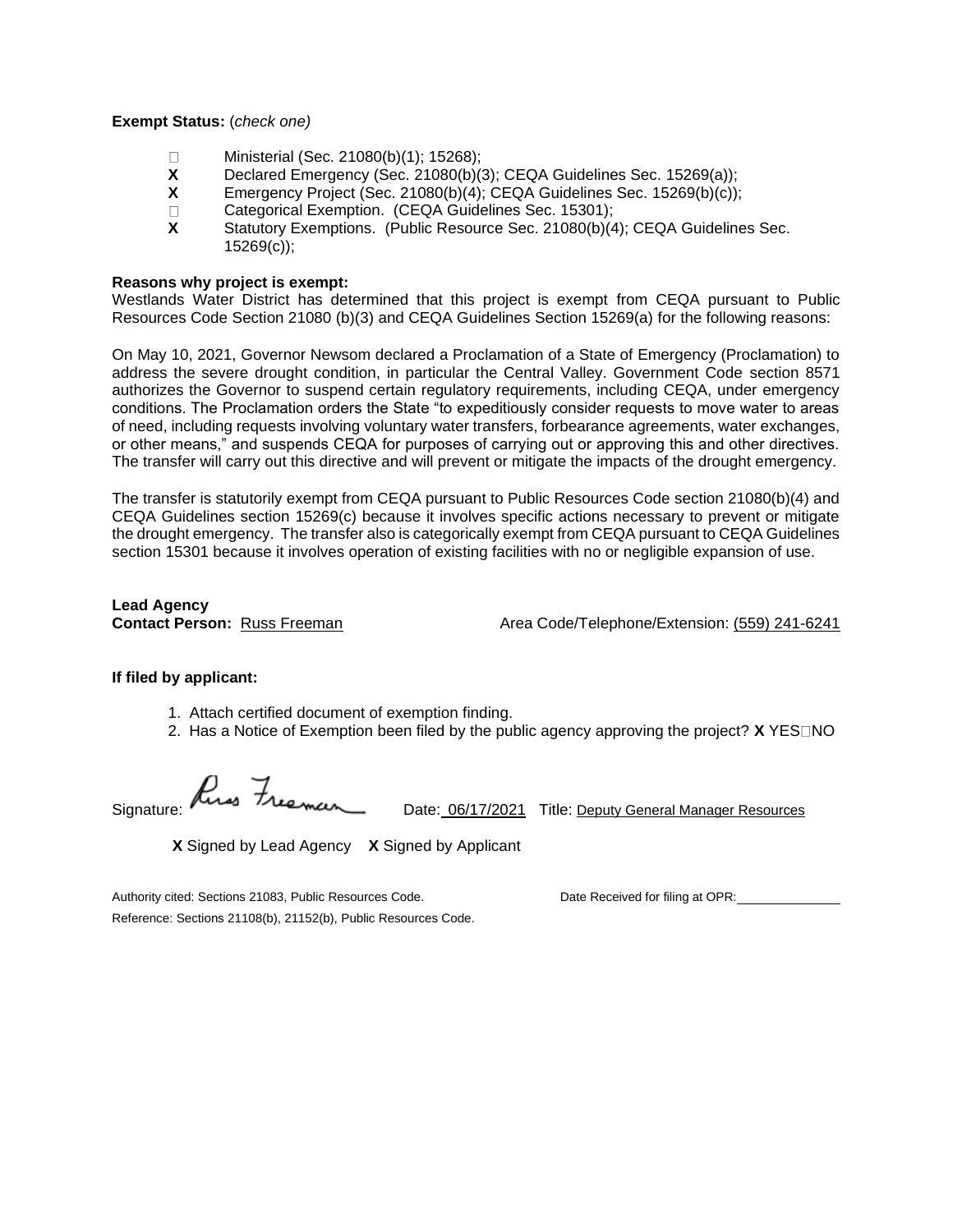**Exempt Status:** (*check one)*

- Ministerial (Sec. 21080(b)(1); 15268);  $\Box$
- **X** Declared Emergency (Sec. 21080(b)(3); CEQA Guidelines Sec. 15269(a));
- **X** Emergency Project (Sec. 21080(b)(4); CEQA Guidelines Sec. 15269(b)(c));
- $\Box$ Categorical Exemption. (CEQA Guidelines Sec. 15301);
- **X** Statutory Exemptions. (Public Resource Sec. 21080(b)(4); CEQA Guidelines Sec. 15269(c));

#### **Reasons why project is exempt:**

Westlands Water District has determined that this project is exempt from CEQA pursuant to Public Resources Code Section 21080 (b)(3) and CEQA Guidelines Section 15269(a) for the following reasons:

On May 10, 2021, Governor Newsom declared a Proclamation of a State of Emergency (Proclamation) to address the severe drought condition, in particular the Central Valley. Government Code section 8571 authorizes the Governor to suspend certain regulatory requirements, including CEQA, under emergency conditions. The Proclamation orders the State "to expeditiously consider requests to move water to areas of need, including requests involving voluntary water transfers, forbearance agreements, water exchanges, or other means," and suspends CEQA for purposes of carrying out or approving this and other directives. The transfer will carry out this directive and will prevent or mitigate the impacts of the drought emergency.

The transfer is statutorily exempt from CEQA pursuant to Public Resources Code section 21080(b)(4) and CEQA Guidelines section 15269(c) because it involves specific actions necessary to prevent or mitigate the drought emergency. The transfer also is categorically exempt from CEQA pursuant to CEQA Guidelines section 15301 because it involves operation of existing facilities with no or negligible expansion of use.

**Lead Agency**

**Contact Person:** Russ Freeman Area Code/Telephone/Extension: (559) 241-6241

### **If filed by applicant:**

- 1. Attach certified document of exemption finding.
- 2. Has a Notice of Exemption been filed by the public agency approving the project? **X** YES NO

Signature: Rives Freeman Date: 06/17/2021 Title: <u>Deputy General Manager Resources</u>

**X** Signed by Lead Agency **X** Signed by Applicant

Authority cited: Sections 21083, Public Resources Code. Date Received for filing at OPR: Reference: Sections 21108(b), 21152(b), Public Resources Code.